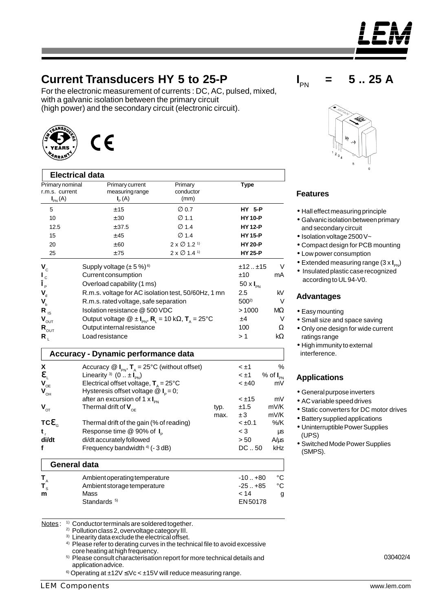## **Current Transducers HY 5 to 25-P**

For the electronic measurement of currents : DC, AC, pulsed, mixed, with a galvanic isolation between the primary circuit (high power) and the secondary circuit (electronic circuit).



| <b>Electrical data</b>          |                                                                                                                          |                                        |      |                             |                  |
|---------------------------------|--------------------------------------------------------------------------------------------------------------------------|----------------------------------------|------|-----------------------------|------------------|
| Primary nominal                 | Primary current                                                                                                          | Primary                                |      | Type                        |                  |
| r.m.s. current                  | measuring range                                                                                                          | conductor                              |      |                             |                  |
| $I_{\text{PN}}(A)$              | $I_{\rm p}(A)$                                                                                                           | (mm)                                   |      |                             |                  |
| 5                               | ± 15                                                                                                                     | $\varnothing$ 0.7                      |      | <b>HY 5-P</b>               |                  |
| 10                              | ± 30                                                                                                                     | $\varnothing$ 1.1                      |      | <b>HY 10-P</b>              |                  |
| 12.5                            | ± 37.5                                                                                                                   | $\varnothing$ 1.4                      |      | <b>HY 12-P</b>              |                  |
| 15                              | ±45                                                                                                                      | $\varnothing$ 1.4                      |      | <b>HY 15-P</b>              |                  |
| 20                              | ±60                                                                                                                      | $2 \times \emptyset$ 1.2 <sup>1</sup>  |      | <b>HY 20-P</b>              |                  |
| 25                              | ±75                                                                                                                      | $2 \times \emptyset$ 1.4 <sup>1)</sup> |      | <b>HY 25-P</b>              |                  |
| $V_c$                           | Supply voltage $(\pm 5\%)$ <sup>6)</sup>                                                                                 |                                        |      | ±12±15                      | V                |
| $\mathsf{I}_{\mathsf{c}}$       | Current consumption                                                                                                      |                                        |      | ±10                         | mA               |
| $\hat{\mathsf{I}}_{\mathsf{P}}$ | Overload capability (1 ms)                                                                                               |                                        |      | 50 $\times$ $I_{\text{PN}}$ |                  |
| $V_{d}$                         | R.m.s. voltage for AC isolation test, 50/60Hz, 1 mn                                                                      |                                        |      | 2.5                         | kV               |
| $\mathbf{V}_{\mathbf{b}}$       | R.m.s. rated voltage, safe separation                                                                                    |                                        |      | $500^{2}$                   | V                |
| $R_{\rm IS}$                    | Isolation resistance @ 500 VDC                                                                                           |                                        |      | >1000                       | MΩ               |
| $\mathbf{V}_{\text{OUT}}$       | Output voltage $\circledR \pm I_{\text{PN}}$ , $R_{\text{L}} = 10 \text{ k}\Omega$ , $T_{\text{A}} = 25^{\circ}\text{C}$ |                                        |      | ±4                          | v                |
| $\mathbf{R}_{\text{OUT}}$       | Output internal resistance                                                                                               |                                        |      | 100                         | Ω                |
| $R_{\perp}$                     | Load resistance                                                                                                          |                                        |      | >1                          | $k\Omega$        |
|                                 | <b>Accuracy - Dynamic performance data</b>                                                                               |                                        |      |                             |                  |
| X                               | Accuracy $\mathcal{Q}$ $I_{\text{PN}}$ , $T_{\text{A}} = 25^{\circ}$ C (without offset)                                  |                                        |      | < ±1                        | $\%$             |
| e,                              | Linearity <sup>3)</sup> $(0 \dots \pm I_{\text{PN}})$                                                                    |                                        |      | < ±1                        | % of $I_{PN}$    |
| $\mathbf{V}_{\text{OE}}$        | Electrical offset voltage, $T_{A} = 25^{\circ}C$                                                                         |                                        |      | < ±40                       | mV               |
| $\mathbf{V}_{_{\mathrm{OH}}}$   | Hysteresis offset voltage $\mathcal{Q}$ $I_{\text{p}} = 0$ ;                                                             |                                        |      |                             |                  |
|                                 | after an excursion of 1 $\times$ $I_{\text{PN}}$                                                                         |                                        |      | $< \pm 15$                  | mV               |
| $V_{\text{OT}}$                 | Thermal drift of $V_{\text{OE}}$                                                                                         |                                        | typ. | ±1.5                        | mV/K             |
|                                 |                                                                                                                          |                                        | max. | ±3                          | mV/K             |
| TC <b>e</b>                     | Thermal drift of the gain (% of reading)                                                                                 |                                        |      | < ±0.1                      | %/K              |
| t,                              | Response time @ 90% of I <sub>p</sub>                                                                                    |                                        |      | $<$ 3<br>> 50               | $\mu s$          |
| di/dt<br>f                      | di/dt accurately followed<br>Frequency bandwidth 4) (- 3 dB)                                                             |                                        |      | DC.50                       | $A/\mu s$<br>kHz |
|                                 |                                                                                                                          |                                        |      |                             |                  |
| <b>General data</b>             |                                                                                                                          |                                        |      |                             |                  |
| $T_{A}$                         | Ambient operating temperature                                                                                            |                                        |      | $-10+80$                    | °C               |
| $\mathbf{T}_{\mathrm{s}}$       | Ambient storage temperature                                                                                              |                                        |      | $-25. + 85$                 | $\rm ^{\circ}C$  |
| m                               | Mass                                                                                                                     |                                        |      | < 14                        | g                |
|                                 | Standards <sup>5)</sup>                                                                                                  |                                        |      | <b>FN50178</b>              |                  |

Notes : <sup>1)</sup> Conductor terminals are soldered together.

2) Pollution class 2, overvoltage category III.

<sup>3)</sup> Linearity data exclude the electrical offset.

<sup>4)</sup> Please refer to derating curves in the technical file to avoid excessive core heating at high frequency.

5) Please consult characterisation report for more technical details and application advice.

6) Operating at  $\pm 12V \leq VC < \pm 15V$  will reduce measuring range.





## **Features**

**I** PN

- Hall effect measuring principle
- Galvanic isolation between primary and secondary circuit
- Isolation voltage 2500 V~
- Compact design for PCB mounting
- Low power consumption
- Extended measuring range (3 x **I**<sub>PN</sub>)
- Insulated plastic case recognized according to UL 94-V0.

## **Advantages**

- Easy mounting
- Small size and space saving
- Only one design for wide current ratings range
- High immunity to external interference.

## **Applications**

- General purpose inverters
- AC variable speed drives
- Static converters for DC motor drives
- Battery supplied applications
- Uninterruptible Power Supplies (UPS)
- Switched Mode Power Supplies (SMPS).



**= 5 .. 25 A**